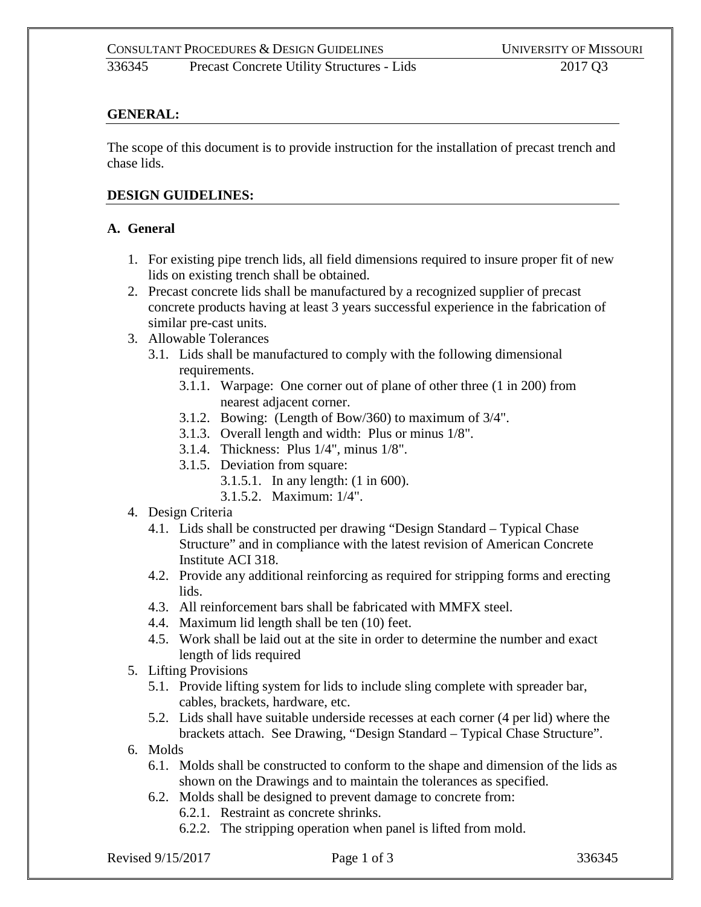336345 Precast Concrete Utility Structures - Lids 2017 Q3

# **GENERAL:**

The scope of this document is to provide instruction for the installation of precast trench and chase lids.

#### **DESIGN GUIDELINES:**

#### **A. General**

- 1. For existing pipe trench lids, all field dimensions required to insure proper fit of new lids on existing trench shall be obtained.
- 2. Precast concrete lids shall be manufactured by a recognized supplier of precast concrete products having at least 3 years successful experience in the fabrication of similar pre-cast units.
- 3. Allowable Tolerances
	- 3.1. Lids shall be manufactured to comply with the following dimensional requirements.
		- 3.1.1. Warpage: One corner out of plane of other three (1 in 200) from nearest adjacent corner.
		- 3.1.2. Bowing: (Length of Bow/360) to maximum of 3/4".
		- 3.1.3. Overall length and width: Plus or minus 1/8".
		- 3.1.4. Thickness: Plus 1/4", minus 1/8".
		- 3.1.5. Deviation from square:
			- 3.1.5.1. In any length: (1 in 600).
			- 3.1.5.2. Maximum: 1/4".
- 4. Design Criteria
	- 4.1. Lids shall be constructed per drawing "Design Standard Typical Chase Structure" and in compliance with the latest revision of American Concrete Institute ACI 318.
	- 4.2. Provide any additional reinforcing as required for stripping forms and erecting lids.
	- 4.3. All reinforcement bars shall be fabricated with MMFX steel.
	- 4.4. Maximum lid length shall be ten (10) feet.
	- 4.5. Work shall be laid out at the site in order to determine the number and exact length of lids required
- 5. Lifting Provisions
	- 5.1. Provide lifting system for lids to include sling complete with spreader bar, cables, brackets, hardware, etc.
	- 5.2. Lids shall have suitable underside recesses at each corner (4 per lid) where the brackets attach. See Drawing, "Design Standard – Typical Chase Structure".
- 6. Molds
	- 6.1. Molds shall be constructed to conform to the shape and dimension of the lids as shown on the Drawings and to maintain the tolerances as specified.
	- 6.2. Molds shall be designed to prevent damage to concrete from:
		- 6.2.1. Restraint as concrete shrinks.
		- 6.2.2. The stripping operation when panel is lifted from mold.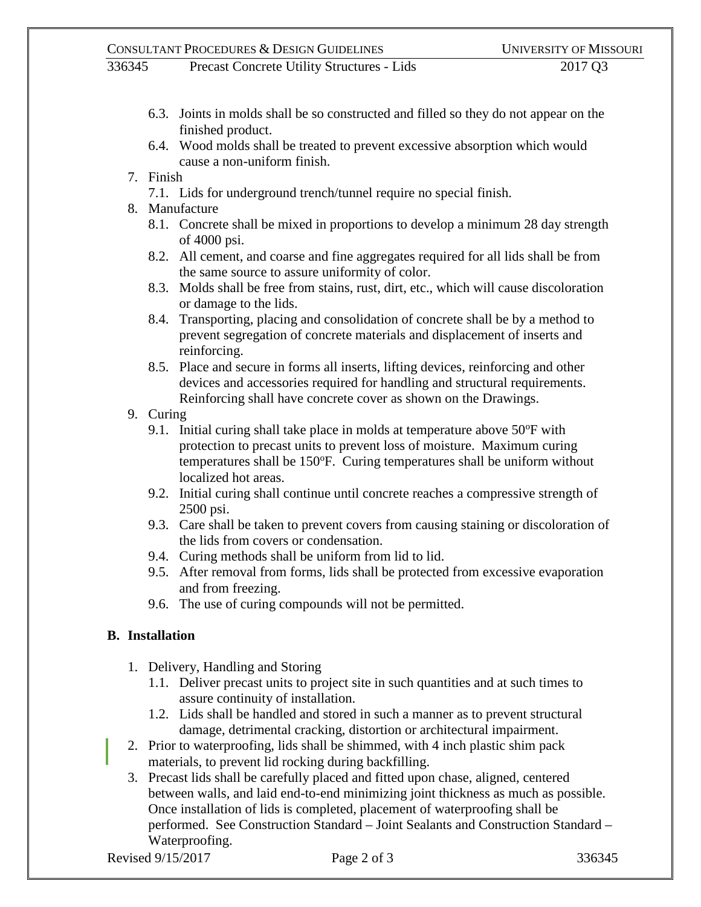336345 Precast Concrete Utility Structures - Lids 2017 Q3

- 6.3. Joints in molds shall be so constructed and filled so they do not appear on the finished product.
- 6.4. Wood molds shall be treated to prevent excessive absorption which would cause a non-uniform finish.
- 7. Finish
	- 7.1. Lids for underground trench/tunnel require no special finish.
- 8. Manufacture
	- 8.1. Concrete shall be mixed in proportions to develop a minimum 28 day strength of 4000 psi.
	- 8.2. All cement, and coarse and fine aggregates required for all lids shall be from the same source to assure uniformity of color.
	- 8.3. Molds shall be free from stains, rust, dirt, etc., which will cause discoloration or damage to the lids.
	- 8.4. Transporting, placing and consolidation of concrete shall be by a method to prevent segregation of concrete materials and displacement of inserts and reinforcing.
	- 8.5. Place and secure in forms all inserts, lifting devices, reinforcing and other devices and accessories required for handling and structural requirements. Reinforcing shall have concrete cover as shown on the Drawings.
- 9. Curing
	- 9.1. Initial curing shall take place in molds at temperature above  $50^{\circ}$ F with protection to precast units to prevent loss of moisture. Maximum curing temperatures shall be 150°F. Curing temperatures shall be uniform without localized hot areas.
	- 9.2. Initial curing shall continue until concrete reaches a compressive strength of 2500 psi.
	- 9.3. Care shall be taken to prevent covers from causing staining or discoloration of the lids from covers or condensation.
	- 9.4. Curing methods shall be uniform from lid to lid.
	- 9.5. After removal from forms, lids shall be protected from excessive evaporation and from freezing.
	- 9.6. The use of curing compounds will not be permitted.

# **B. Installation**

- 1. Delivery, Handling and Storing
	- 1.1. Deliver precast units to project site in such quantities and at such times to assure continuity of installation.
	- 1.2. Lids shall be handled and stored in such a manner as to prevent structural damage, detrimental cracking, distortion or architectural impairment.
- 2. Prior to waterproofing, lids shall be shimmed, with 4 inch plastic shim pack materials, to prevent lid rocking during backfilling.
- 3. Precast lids shall be carefully placed and fitted upon chase, aligned, centered between walls, and laid end-to-end minimizing joint thickness as much as possible. Once installation of lids is completed, placement of waterproofing shall be performed. See Construction Standard – Joint Sealants and Construction Standard – Waterproofing.